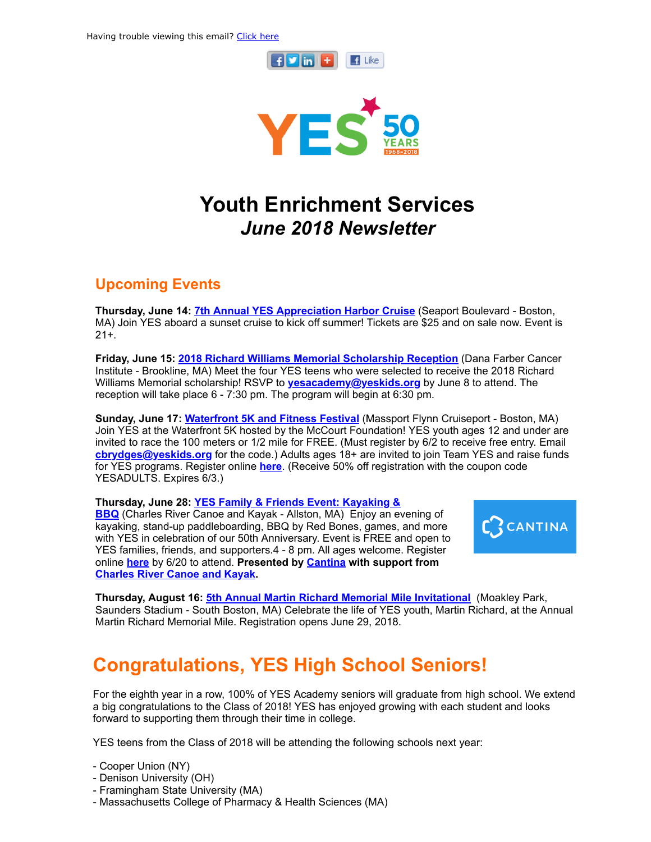



# Youth Enrichment Services June 2018 Newsletter

### Upcoming Events

Thursday, June 14: **7th Annual YES [Appreciation](https://www.eventbrite.com/e/7th-annual-yes-harbor-cruise-tickets-44346322043) Harbor Cruise** (Seaport Boulevard - Boston, MA) Join YES aboard a sunset cruise to kick off summer! Tickets are \$25 and on sale now. Event is 21+.

Friday, June 15: 2018 Richard Williams Memorial [Scholarship](http://www.yeskids.org/event/2018-richard-williams-memorial-scholarship-reception/) Reception (Dana Farber Cancer Institute - Brookline, MA) Meet the four YES teens who were selected to receive the 2018 Richard Williams Memorial scholarship! RSVP to [yesacademy@yeskids.org](mailto:yesacademy@yeskids.org) by June 8 to attend. The reception will take place 6 - 7:30 pm. The program will begin at 6:30 pm.

Sunday, June 17: [Waterfront](http://www.yeskids.org/event/join-yes-at-the-waterfront-5k-race-free-entry-for-yes-youth/) 5K and Fitness Festival (Massport Flynn Cruiseport - Boston, MA) Join YES at the Waterfront 5K hosted by the McCourt Foundation! YES youth ages 12 and under are invited to race the 100 meters or 1/2 mile for FREE. (Must register by 6/2 to receive free entry. Email [cbrydges@yeskids.org](mailto:cbrydges@yeskids.org) for the code.) Adults ages 18+ are invited to join Team YES and raise funds for YES programs. Register online **[here](http://www.mccourtfoundation.org/events/2018/6/17/reebok-waterfront-athletic-festival-1)**. (Receive 50% off registration with the coupon code YESADULTS. Expires 6/3.)

[Thursday,](https://www.eventbrite.com/e/yes-family-and-friends-event-kayaking-bbq-tickets-46415766808) June 28: YES Family & Friends Event: Kayaking & BBQ (Charles River Canoe and Kayak - Allston, MA) Enjoy an evening of kayaking, stand-up paddleboarding, BBQ by Red Bones, games, and more with YES in celebration of our 50th Anniversary. Event is FREE and open to YES families, friends, and supporters.4 - 8 pm. All ages welcome. Register online [here](https://www.eventbrite.com/e/yes-family-and-friends-event-kayaking-bbq-tickets-46415766808) by 6/20 to attend. Presented by **[Cantina](http://www.cantina.co/)** with support from [Charles](http://www.paddleboston.com/) River Canoe and Kayak.



Thursday, August 16: **5th Annual Martin Richard Memorial Mile [Invitational](http://www.yeskids.org/event/5th-annual-martin-richard-memorial-mile/)** (Moakley Park, Saunders Stadium - South Boston, MA) Celebrate the life of YES youth, Martin Richard, at the Annual Martin Richard Memorial Mile. Registration opens June 29, 2018.

### Congratulations, YES High School Seniors!

For the eighth year in a row, 100% of YES Academy seniors will graduate from high school. We extend a big congratulations to the Class of 2018! YES has enjoyed growing with each student and looks forward to supporting them through their time in college.

YES teens from the Class of 2018 will be attending the following schools next year:

- Cooper Union (NY)
- Denison University (OH)
- Framingham State University (MA)
- Massachusetts College of Pharmacy & Health Sciences (MA)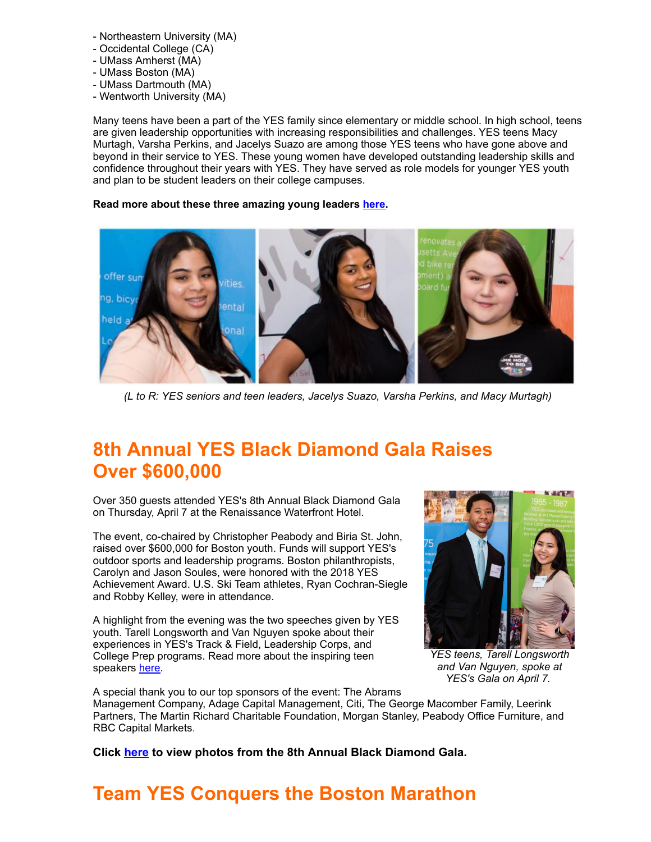- Northeastern University (MA)
- Occidental College (CA)
- UMass Amherst (MA)
- UMass Boston (MA)
- UMass Dartmouth (MA) - Wentworth University (MA)

Many teens have been a part of the YES family since elementary or middle school. In high school, teens are given leadership opportunities with increasing responsibilities and challenges. YES teens Macy Murtagh, Varsha Perkins, and Jacelys Suazo are among those YES teens who have gone above and beyond in their service to YES. These young women have developed outstanding leadership skills and confidence throughout their years with YES. They have served as role models for younger YES youth and plan to be student leaders on their college campuses.

### Read more about these three amazing young leaders [here.](http://www.yeskids.org/farewell_seniors/)



(L to R: YES seniors and teen leaders, Jacelys Suazo, Varsha Perkins, and Macy Murtagh)

### 8th Annual YES Black Diamond Gala Raises Over \$600,000

Over 350 guests attended YES's 8th Annual Black Diamond Gala on Thursday, April 7 at the Renaissance Waterfront Hotel.

The event, co-chaired by Christopher Peabody and Biria St. John, raised over \$600,000 for Boston youth. Funds will support YES's outdoor sports and leadership programs. Boston philanthropists, Carolyn and Jason Soules, were honored with the 2018 YES Achievement Award. U.S. Ski Team athletes, Ryan Cochran-Siegle and Robby Kelley, were in attendance.

A highlight from the evening was the two speeches given by YES youth. Tarell Longsworth and Van Nguyen spoke about their experiences in YES's Track & Field, Leadership Corps, and College Prep programs. Read more about the inspiring teen speakers [here](http://www.yeskids.org/50gala/).



YES teens, Tarell Longsworth and Van Nguyen, spoke at YES's Gala on April 7.

A special thank you to our top sponsors of the event: The Abrams Management Company, Adage Capital Management, Citi, The George Macomber Family, Leerink Partners, The Martin Richard Charitable Foundation, Morgan Stanley, Peabody Office Furniture, and RBC Capital Markets.

Click [here](https://www.facebook.com/pg/yeskidsboston/photos/?tab=album&album_id=10156055044236224) to view photos from the 8th Annual Black Diamond Gala.

# Team YES Conquers the Boston Marathon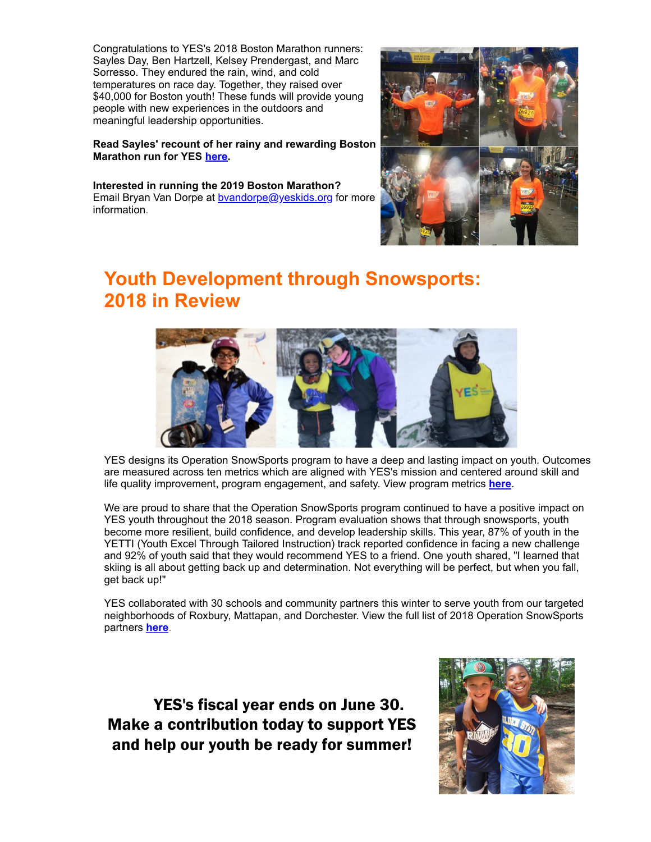Congratulations to YES's 2018 Boston Marathon runners: Sayles Day, Ben Hartzell, Kelsey Prendergast, and Marc Sorresso. They endured the rain, wind, and cold temperatures on race day. Together, they raised over \$40,000 for Boston youth! These funds will provide young people with new experiences in the outdoors and meaningful leadership opportunities.

#### Read Sayles' recount of her rainy and rewarding Boston Marathon run for YES [here](http://www.yeskids.org/yes-marathon-runner-sayles-day-recounts-her-boston-marathon-run/).

Interested in running the 2019 Boston Marathon? Email Bryan Van Dorpe at [bvandorpe@yeskids.org](mailto:bvandorpe@yeskids.org) for more information.



### Youth Development through Snowsports: 2018 in Review



YES designs its Operation SnowSports program to have a deep and lasting impact on youth. Outcomes are measured across ten metrics which are aligned with YES's mission and centered around skill and life quality improvement, program engagement, and safety. View program metrics [here](http://files.constantcontact.com/9b3b9517001/ab1b687f-c2d1-46e9-966a-b55d79946f1f.pdf).

We are proud to share that the Operation SnowSports program continued to have a positive impact on YES youth throughout the 2018 season. Program evaluation shows that through snowsports, youth become more resilient, build confidence, and develop leadership skills. This year, 87% of youth in the YETTI (Youth Excel Through Tailored Instruction) track reported confidence in facing a new challenge and 92% of youth said that they would recommend YES to a friend. One youth shared, "I learned that skiing is all about getting back up and determination. Not everything will be perfect, but when you fall, get back up!"

YES collaborated with 30 schools and community partners this winter to serve youth from our targeted neighborhoods of Roxbury, Mattapan, and Dorchester. View the full list of 2018 Operation SnowSports partners **[here](http://files.constantcontact.com/9b3b9517001/5fde9b35-e4c3-4cac-af32-c20ae6be3e6a.pdf)**.

YES's fiscal year ends on June 30. Make a contribution today to support YES and help our youth be ready for summer!